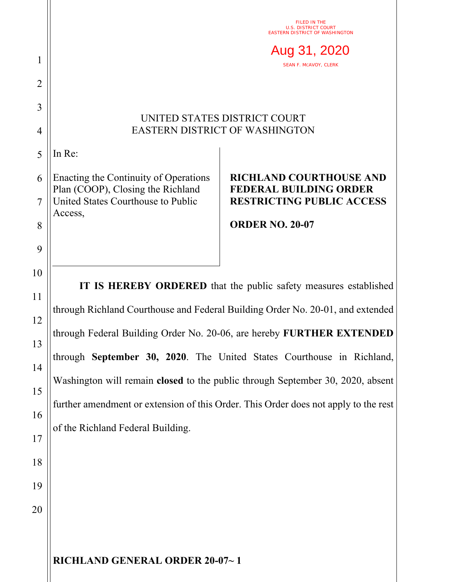|                                                    | FILED IN THE<br><b>U.S. DISTRICT COURT</b>                                                                                                                                                                                                                                                                                                                                                                                                                                                                         |                                                                                                     |
|----------------------------------------------------|--------------------------------------------------------------------------------------------------------------------------------------------------------------------------------------------------------------------------------------------------------------------------------------------------------------------------------------------------------------------------------------------------------------------------------------------------------------------------------------------------------------------|-----------------------------------------------------------------------------------------------------|
|                                                    | EASTERN DISTRICT OF WASHINGTON                                                                                                                                                                                                                                                                                                                                                                                                                                                                                     |                                                                                                     |
| 1                                                  | Aug 31, 2020<br><b>SEAN F. MCAVOY, CLERK</b>                                                                                                                                                                                                                                                                                                                                                                                                                                                                       |                                                                                                     |
| $\overline{2}$                                     |                                                                                                                                                                                                                                                                                                                                                                                                                                                                                                                    |                                                                                                     |
| 3                                                  |                                                                                                                                                                                                                                                                                                                                                                                                                                                                                                                    |                                                                                                     |
| 4                                                  | UNITED STATES DISTRICT COURT<br><b>EASTERN DISTRICT OF WASHINGTON</b>                                                                                                                                                                                                                                                                                                                                                                                                                                              |                                                                                                     |
| 5                                                  | In Re:                                                                                                                                                                                                                                                                                                                                                                                                                                                                                                             |                                                                                                     |
| 6<br>$\overline{7}$                                | Enacting the Continuity of Operations<br>Plan (COOP), Closing the Richland<br>United States Courthouse to Public                                                                                                                                                                                                                                                                                                                                                                                                   | <b>RICHLAND COURTHOUSE AND</b><br><b>FEDERAL BUILDING ORDER</b><br><b>RESTRICTING PUBLIC ACCESS</b> |
| 8                                                  | Access,                                                                                                                                                                                                                                                                                                                                                                                                                                                                                                            | <b>ORDER NO. 20-07</b>                                                                              |
| 9                                                  |                                                                                                                                                                                                                                                                                                                                                                                                                                                                                                                    |                                                                                                     |
| 10<br>11<br>12<br>13<br>14<br>15<br>16<br>17<br>18 | IT IS HEREBY ORDERED that the public safety measures established<br>through Richland Courthouse and Federal Building Order No. 20-01, and extended<br>through Federal Building Order No. 20-06, are hereby FURTHER EXTENDED<br>through September 30, 2020. The United States Courthouse in Richland,<br>Washington will remain closed to the public through September 30, 2020, absent<br>further amendment or extension of this Order. This Order does not apply to the rest<br>of the Richland Federal Building. |                                                                                                     |
| 19<br>20                                           |                                                                                                                                                                                                                                                                                                                                                                                                                                                                                                                    |                                                                                                     |
|                                                    | RICHLAND GENERAL ORDER 20-07~1                                                                                                                                                                                                                                                                                                                                                                                                                                                                                     |                                                                                                     |